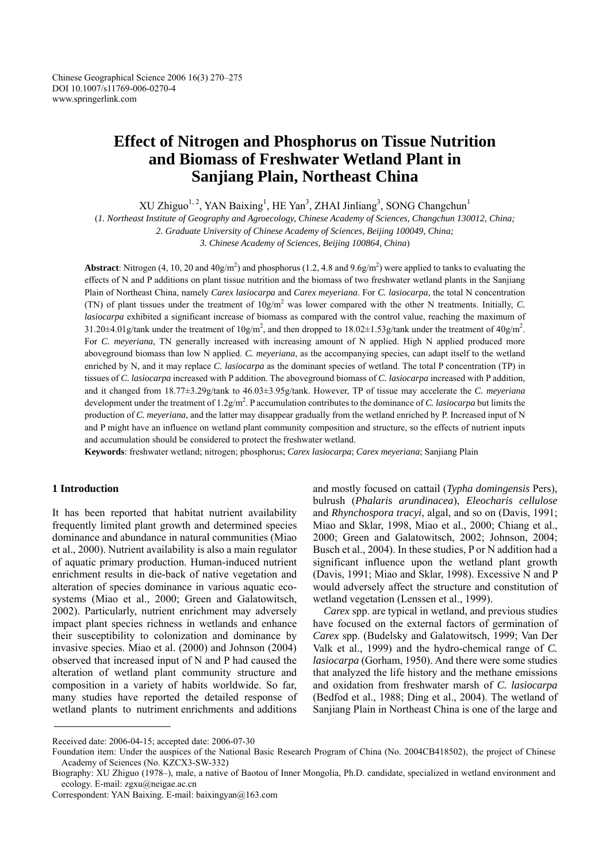# **Effect of Nitrogen and Phosphorus on Tissue Nutrition and Biomass of Freshwater Wetland Plant in Sanjiang Plain, Northeast China**

 $XU Zhiguo<sup>1,2</sup>, YAN Baixing<sup>1</sup>, HE Yan<sup>3</sup>, ZHAI Jinliang<sup>3</sup>, SONG Changchun<sup>1</sup>$ 

(*1. Northeast Institute of Geography and Agroecology, Chinese Academy of Sciences, Changchun 130012, China;* 

*2. Graduate University of Chinese Academy of Sciences, Beijing 100049, China;* 

*3. Chinese Academy of Sciences, Beijing 100864, China*)

**Abstract**: Nitrogen (4, 10, 20 and 40g/m<sup>2</sup>) and phosphorus (1.2, 4.8 and 9.6g/m<sup>2</sup>) were applied to tanks to evaluating the effects of N and P additions on plant tissue nutrition and the biomass of two freshwater wetland plants in the Sanjiang Plain of Northeast China, namely *Carex lasiocarpa* and *Carex meyeriana*. For *C. lasiocarpa*, the total N concentration (TN) of plant tissues under the treatment of  $10g/m^2$  was lower compared with the other N treatments. Initially, *C*. *lasiocarpa* exhibited a significant increase of biomass as compared with the control value, reaching the maximum of 31.20 $\pm$ 4.01g/tank under the treatment of  $10g/m^2$ , and then dropped to 18.02 $\pm$ 1.53g/tank under the treatment of 40g/m<sup>2</sup>. For *C. meyeriana*, TN generally increased with increasing amount of N applied. High N applied produced more aboveground biomass than low N applied. *C. meyeriana*, as the accompanying species, can adapt itself to the wetland enriched by N, and it may replace *C. lasiocarpa* as the dominant species of wetland. The total P concentration (TP) in tissues of *C. lasiocarpa* increased with P addition. The aboveground biomass of *C. lasiocarpa* increased with P addition, and it changed from 18.77±3.29g/tank to 46.03±3.95g/tank. However, TP of tissue may accelerate the *C. meyeriana*  development under the treatment of  $1.2g/m^2$ . P accumulation contributes to the dominance of *C. lasiocarpa* but limits the production of *C. meyeriana*, and the latter may disappear gradually from the wetland enriched by P. Increased input of N and P might have an influence on wetland plant community composition and structure, so the effects of nutrient inputs and accumulation should be considered to protect the freshwater wetland.

**Keywords**: freshwater wetland; nitrogen; phosphorus; *Carex lasiocarpa*; *Carex meyeriana*; Sanjiang Plain

# **1 Introduction**

It has been reported that habitat nutrient availability frequently limited plant growth and determined species dominance and abundance in natural communities (Miao et al., 2000). Nutrient availability is also a main regulator of aquatic primary production. Human-induced nutrient enrichment results in die-back of native vegetation and alteration of species dominance in various aquatic ecosystems (Miao et al., 2000; Green and Galatowitsch, 2002). Particularly, nutrient enrichment may adversely impact plant species richness in wetlands and enhance their susceptibility to colonization and dominance by invasive species. Miao et al. (2000) and Johnson (2004) observed that increased input of N and P had caused the alteration of wetland plant community structure and composition in a variety of habits worldwide. So far, many studies have reported the detailed response of wetland plants to nutriment enrichments and additions

and mostly focused on cattail (*Typha domingensis* Pers), bulrush (*Phalaris arundinacea*), *Eleocharis cellulose*  and *Rhynchospora tracyi*, algal, and so on (Davis, 1991; Miao and Sklar, 1998, Miao et al., 2000; Chiang et al., 2000; Green and Galatowitsch, 2002; Johnson, 2004; Busch et al., 2004). In these studies, P or N addition had a significant influence upon the wetland plant growth (Davis, 1991; Miao and Sklar, 1998). Excessive N and P would adversely affect the structure and constitution of wetland vegetation (Lenssen et al., 1999).

*Carex* spp. are typical in wetland, and previous studies have focused on the external factors of germination of *Carex* spp. (Budelsky and Galatowitsch, 1999; Van Der Valk et al., 1999) and the hydro-chemical range of *C. lasiocarpa* (Gorham, 1950). And there were some studies that analyzed the life history and the methane emissions and oxidation from freshwater marsh of *C. lasiocarpa*  (Bedfod et al., 1988; Ding et al., 2004). The wetland of Sanjiang Plain in Northeast China is one of the large and

Received date: 2006-04-15; accepted date: 2006-07-30

Foundation item: Under the auspices of the National Basic Research Program of China (No. 2004CB418502), the project of Chinese Academy of Sciences (No. KZCX3-SW-332)

Biography: XU Zhiguo (1978–), male, a native of Baotou of Inner Mongolia, Ph.D. candidate, specialized in wetland environment and ecology. E-mail: zgxu@neigae.ac.cn

Correspondent: YAN Baixing. E-mail: baixingyan@163.com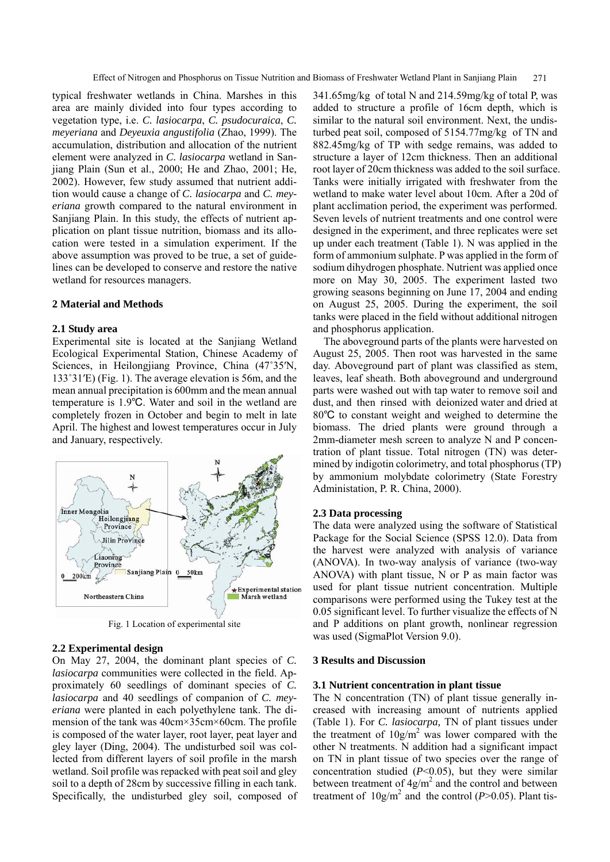typical freshwater wetlands in China. Marshes in this area are mainly divided into four types according to vegetation type, i.e. *C. lasiocarpa*, *C. psudocuraica*, *C. meyeriana* and *Deyeuxia angustifolia* (Zhao, 1999). The accumulation, distribution and allocation of the nutrient element were analyzed in *C. lasiocarpa* wetland in Sanjiang Plain (Sun et al., 2000; He and Zhao, 2001; He, 2002). However, few study assumed that nutrient addition would cause a change of *C. lasiocarpa* and *C. meyeriana* growth compared to the natural environment in Sanjiang Plain. In this study, the effects of nutrient application on plant tissue nutrition, biomass and its allocation were tested in a simulation experiment. If the above assumption was proved to be true, a set of guidelines can be developed to conserve and restore the native wetland for resources managers.

#### **2 Material and Methods**

## **2.1 Study area**

Experimental site is located at the Sanjiang Wetland Ecological Experimental Station, Chinese Academy of Sciences, in Heilongjiang Province, China (47˚35′N, 133˚31′E) (Fig. 1). The average elevation is 56m, and the mean annual precipitation is 600mm and the mean annual temperature is 1.9℃. Water and soil in the wetland are completely frozen in October and begin to melt in late April. The highest and lowest temperatures occur in July and January, respectively.



Fig. 1 Location of experimental site

# **2.2 Experimental design**

On May 27, 2004, the dominant plant species of *C. lasiocarpa* communities were collected in the field. Approximately 60 seedlings of dominant species of *C. lasiocarpa* and 40 seedlings of companion of *C. meyeriana* were planted in each polyethylene tank. The dimension of the tank was 40cm×35cm×60cm. The profile is composed of the water layer, root layer, peat layer and gley layer (Ding, 2004). The undisturbed soil was collected from different layers of soil profile in the marsh wetland. Soil profile was repacked with peat soil and gley soil to a depth of 28cm by successive filling in each tank. Specifically, the undisturbed gley soil, composed of 341.65mg/kg of total N and 214.59mg/kg of total P, was added to structure a profile of 16cm depth, which is similar to the natural soil environment. Next, the undisturbed peat soil, composed of 5154.77mg/kg of TN and 882.45mg/kg of TP with sedge remains, was added to structure a layer of 12cm thickness. Then an additional root layer of 20cm thickness was added to the soil surface. Tanks were initially irrigated with freshwater from the wetland to make water level about 10cm. After a 20d of plant acclimation period, the experiment was performed. Seven levels of nutrient treatments and one control were designed in the experiment, and three replicates were set up under each treatment (Table 1). N was applied in the form of ammonium sulphate. P was applied in the form of sodium dihydrogen phosphate. Nutrient was applied once more on May 30, 2005. The experiment lasted two growing seasons beginning on June 17, 2004 and ending on August 25, 2005. During the experiment, the soil tanks were placed in the field without additional nitrogen and phosphorus application.

The aboveground parts of the plants were harvested on August 25, 2005. Then root was harvested in the same day. Aboveground part of plant was classified as stem, leaves, leaf sheath. Both aboveground and underground parts were washed out with tap water to remove soil and dust, and then rinsed with deionized water and dried at 80℃ to constant weight and weighed to determine the biomass. The dried plants were ground through a 2mm-diameter mesh screen to analyze N and P concentration of plant tissue. Total nitrogen (TN) was determined by indigotin colorimetry, and total phosphorus (TP) by ammonium molybdate colorimetry (State Forestry Administation, P. R. China, 2000).

#### **2.3 Data processing**

The data were analyzed using the software of Statistical Package for the Social Science (SPSS 12.0). Data from the harvest were analyzed with analysis of variance (ANOVA). In two-way analysis of variance (two-way ANOVA) with plant tissue, N or P as main factor was used for plant tissue nutrient concentration. Multiple comparisons were performed using the Tukey test at the 0.05 significant level. To further visualize the effects of N and P additions on plant growth, nonlinear regression was used (SigmaPlot Version 9.0).

### **3 Results and Discussion**

#### **3.1 Nutrient concentration in plant tissue**

The N concentration (TN) of plant tissue generally increased with increasing amount of nutrients applied (Table 1). For *C. lasiocarpa,* TN of plant tissues under the treatment of  $10g/m^2$  was lower compared with the other N treatments. N addition had a significant impact on TN in plant tissue of two species over the range of concentration studied  $(P<0.05)$ , but they were similar between treatment of  $4g/m^2$  and the control and between treatment of  $10g/m^2$  and the control ( $P > 0.05$ ). Plant tis-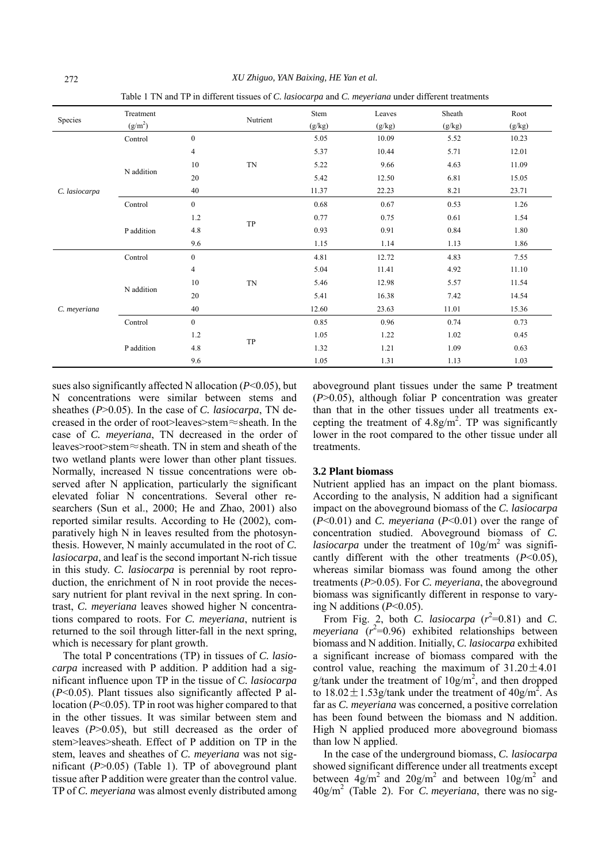| Species       | Treatment           |                | Nutrient  | Stem   | Leaves | Sheath | Root   |
|---------------|---------------------|----------------|-----------|--------|--------|--------|--------|
|               | (g/m <sup>2</sup> ) |                |           | (g/kg) | (g/kg) | (g/kg) | (g/kg) |
| C. lasiocarpa | Control             | $\mathbf{0}$   |           | 5.05   | 10.09  | 5.52   | 10.23  |
|               | N addition          | 4              |           | 5.37   | 10.44  | 5.71   | 12.01  |
|               |                     | 10             | <b>TN</b> | 5.22   | 9.66   | 4.63   | 11.09  |
|               |                     | 20             |           | 5.42   | 12.50  | 6.81   | 15.05  |
|               |                     | 40             |           | 11.37  | 22.23  | 8.21   | 23.71  |
|               | Control             | $\mathbf{0}$   |           | 0.68   | 0.67   | 0.53   | 1.26   |
|               | P addition          | 1.2            | TP        | 0.77   | 0.75   | 0.61   | 1.54   |
|               |                     | 4.8            |           | 0.93   | 0.91   | 0.84   | 1.80   |
|               |                     | 9.6            |           | 1.15   | 1.14   | 1.13   | 1.86   |
| C. meyeriana  | Control             | $\mathbf{0}$   |           | 4.81   | 12.72  | 4.83   | 7.55   |
|               | N addition          | $\overline{4}$ |           | 5.04   | 11.41  | 4.92   | 11.10  |
|               |                     | 10             | <b>TN</b> | 5.46   | 12.98  | 5.57   | 11.54  |
|               |                     | 20             |           | 5.41   | 16.38  | 7.42   | 14.54  |
|               |                     | 40             |           | 12.60  | 23.63  | 11.01  | 15.36  |
|               | Control             | $\mathbf{0}$   |           | 0.85   | 0.96   | 0.74   | 0.73   |
|               | P addition          | 1.2            |           | 1.05   | 1.22   | 1.02   | 0.45   |
|               |                     | 4.8            | TP        | 1.32   | 1.21   | 1.09   | 0.63   |
|               |                     | 9.6            |           | 1.05   | 1.31   | 1.13   | 1.03   |

<sup>272</sup>*XU Zhiguo, YAN Baixing, HE Yan et al.* Table 1 TN and TP in different tissues of *C. lasiocarpa* and *C. meyeriana* under different treatments

sues also significantly affected N allocation (*P*<0.05), but N concentrations were similar between stems and sheathes (*P*>0.05). In the case of *C. lasiocarpa*, TN decreased in the order of root>leaves>stem≈sheath. In the case of *C. meyeriana*, TN decreased in the order of leaves>root>stem≈sheath. TN in stem and sheath of the two wetland plants were lower than other plant tissues. Normally, increased N tissue concentrations were observed after N application, particularly the significant elevated foliar N concentrations. Several other researchers (Sun et al., 2000; He and Zhao, 2001) also reported similar results. According to He (2002), comparatively high N in leaves resulted from the photosynthesis. However, N mainly accumulated in the root of *C. lasiocarpa*, and leaf is the second important N-rich tissue in this study. *C. lasiocarpa* is perennial by root reproduction, the enrichment of N in root provide the necessary nutrient for plant revival in the next spring. In contrast, *C. meyeriana* leaves showed higher N concentrations compared to roots. For *C. meyeriana*, nutrient is returned to the soil through litter-fall in the next spring, which is necessary for plant growth.

The total P concentrations (TP) in tissues of *C. lasiocarpa* increased with P addition. P addition had a significant influence upon TP in the tissue of *C. lasiocarpa*  (*P*<0.05). Plant tissues also significantly affected P allocation (*P*<0.05). TP in root was higher compared to that in the other tissues. It was similar between stem and leaves (*P*>0.05), but still decreased as the order of stem>leaves>sheath. Effect of P addition on TP in the stem, leaves and sheathes of *C. meyeriana* was not significant (*P*>0.05) (Table 1). TP of aboveground plant tissue after P addition were greater than the control value. TP of *C. meyeriana* was almost evenly distributed among

aboveground plant tissues under the same P treatment (*P*>0.05), although foliar P concentration was greater than that in the other tissues under all treatments excepting the treatment of  $4.8g/m^2$ . TP was significantly lower in the root compared to the other tissue under all treatments.

#### **3.2 Plant biomass**

Nutrient applied has an impact on the plant biomass. According to the analysis, N addition had a significant impact on the aboveground biomass of the *C. lasiocarpa* (*P*<0.01) and *C. meyeriana* (*P*<0.01) over the range of concentration studied. Aboveground biomass of *C. lasiocarpa* under the treatment of  $10g/m^2$  was significantly different with the other treatments (*P*<0.05), whereas similar biomass was found among the other treatments (*P*>0.05). For *C. meyeriana*, the aboveground biomass was significantly different in response to varying N additions (*P*<0.05).

From Fig. 2, both *C. lasiocarpa*  $(r^2=0.81)$  and *C. meyeriana*  $(r^2=0.96)$  exhibited relationships between biomass and N addition. Initially, *C. lasiocarpa* exhibited a significant increase of biomass compared with the control value, reaching the maximum of  $31.20 \pm 4.01$ g/tank under the treatment of  $10g/m^2$ , and then dropped to  $18.02 \pm 1.53$  g/tank under the treatment of  $40$  g/m<sup>2</sup>. As far as *C. meyeriana* was concerned, a positive correlation has been found between the biomass and N addition. High N applied produced more aboveground biomass than low N applied.

In the case of the underground biomass, *C. lasiocarpa*  showed significant difference under all treatments except between  $4g/m^2$  and  $20g/m^2$  and between  $10g/m^2$  and 40g/m2 (Table 2). For *C. meyeriana*, there was no sig-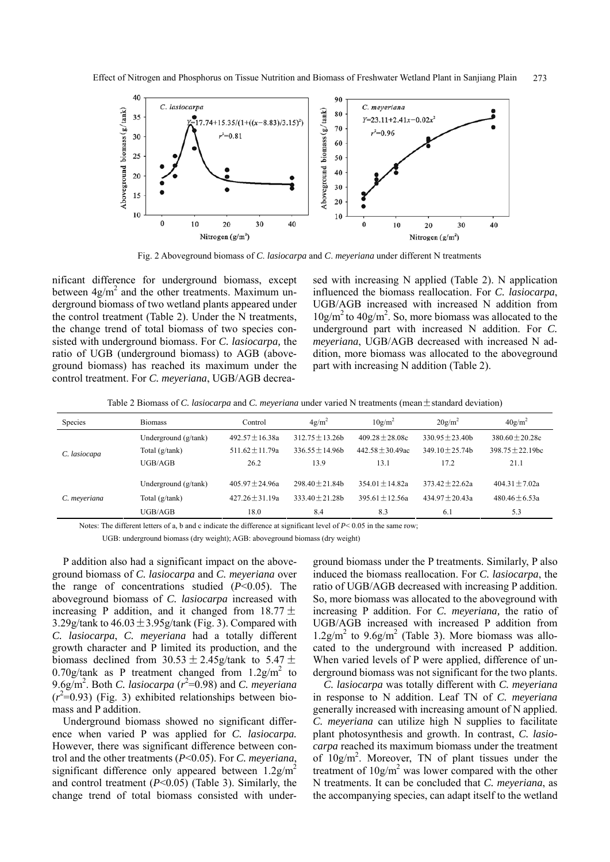

Fig. 2 Aboveground biomass of *C*. *lasiocarpa* and *C*. *meyeriana* under different N treatments

nificant difference for underground biomass, except between  $4g/m^2$  and the other treatments. Maximum underground biomass of two wetland plants appeared under the control treatment (Table 2). Under the N treatments, the change trend of total biomass of two species consisted with underground biomass. For *C. lasiocarpa,* the ratio of UGB (underground biomass) to AGB (aboveground biomass) has reached its maximum under the control treatment. For *C. meyeriana*, UGB/AGB decreased with increasing N applied (Table 2). N application influenced the biomass reallocation. For *C. lasiocarpa*, UGB/AGB increased with increased N addition from  $10g/m<sup>2</sup>$  to  $40g/m<sup>2</sup>$ . So, more biomass was allocated to the underground part with increased N addition. For *C. meyeriana*, UGB/AGB decreased with increased N addition, more biomass was allocated to the aboveground part with increasing N addition (Table 2).

Table 2 Biomass of *C. lasiocarpa* and *C. meyeriana* under varied N treatments (mean  $\pm$  standard deviation)

| <b>Species</b> | <b>Biomass</b>       | Control             | $4g/m^2$          | $10g/m^2$           | $20g/m^2$         | $40$ g/m <sup>2</sup> |
|----------------|----------------------|---------------------|-------------------|---------------------|-------------------|-----------------------|
|                | Underground (g/tank) | $492.57 + 16.38a$   | $312.75 + 13.26$  | $409.28 + 28.08c$   | $330.95 + 23.40b$ | $380.60 + 20.28c$     |
| C. lasiocapa   | Total $(g/tank)$     | $511.62 + 11.79a$   | $336.55 + 14.96$  | $442.58 + 30.49$ ac | $349.10 + 25.74h$ | $398.75 + 22.19$ bc   |
|                | UGB/AGB              | 26.2                | 13.9              | 13.1                | 17.2              | 21.1                  |
| C. meyeriana   | Underground (g/tank) | $405.97 + 24.96a$   | $298.40 + 21.84h$ | $354.01 + 14.82a$   | $373.42 + 22.62a$ | $404.31 + 7.02a$      |
|                | Total $(g/tank)$     | $427.26 \pm 31.19a$ | $333.40 + 21.28h$ | $395.61 \pm 12.56a$ | $434.97 + 20.43a$ | 480.46 $\pm$ 6.53a    |
|                | UGB/AGB              | 18.0                | 8.4               | 8.3                 | 6.1               | 5.3                   |

Notes: The different letters of a, b and c indicate the difference at significant level of  $P < 0.05$  in the same row;

UGB: underground biomass (dry weight); AGB: aboveground biomass (dry weight)

P addition also had a significant impact on the aboveground biomass of *C. lasiocarpa* and *C. meyeriana* over the range of concentrations studied (*P*<0.05). The aboveground biomass of *C. lasiocarpa* increased with increasing P addition, and it changed from  $18.77 \pm$ 3.29g/tank to  $46.03 \pm 3.95$ g/tank (Fig. 3). Compared with *C. lasiocarpa*, *C. meyeriana* had a totally different growth character and P limited its production, and the biomass declined from  $30.53 \pm 2.45$  g/tank to  $5.47 \pm$ 0.70g/tank as P treatment changed from  $1.2$ g/m<sup>2</sup> to 9.6g/m<sup>2</sup>. Both *C. lasiocarpa* ( $r^2$ =0.98) and *C. meyeriana*  $(r^2=0.93)$  (Fig. 3) exhibited relationships between biomass and P addition.

Underground biomass showed no significant difference when varied P was applied for *C. lasiocarpa.* However, there was significant difference between control and the other treatments (*P*<0.05). For *C. meyeriana*, significant difference only appeared between  $1.2$ g/m<sup>2</sup> and control treatment (*P*<0.05) (Table 3). Similarly, the change trend of total biomass consisted with underground biomass under the P treatments. Similarly, P also induced the biomass reallocation. For *C. lasiocarpa*, the ratio of UGB/AGB decreased with increasing P addition. So, more biomass was allocated to the aboveground with increasing P addition. For *C. meyeriana,* the ratio of UGB/AGB increased with increased P addition from  $1.2$ g/m<sup>2</sup> to  $9.6$ g/m<sup>2</sup> (Table 3). More biomass was allocated to the underground with increased P addition. When varied levels of P were applied, difference of underground biomass was not significant for the two plants.

*C. lasiocarpa* was totally different with *C. meyeriana* in response to N addition. Leaf TN of *C. meyeriana* generally increased with increasing amount of N applied. *C. meyeriana* can utilize high N supplies to facilitate plant photosynthesis and growth. In contrast, *C. lasiocarpa* reached its maximum biomass under the treatment of  $10g/m^2$ . Moreover, TN of plant tissues under the treatment of  $10g/m<sup>2</sup>$  was lower compared with the other N treatments. It can be concluded that *C. meyeriana*, as the accompanying species, can adapt itself to the wetland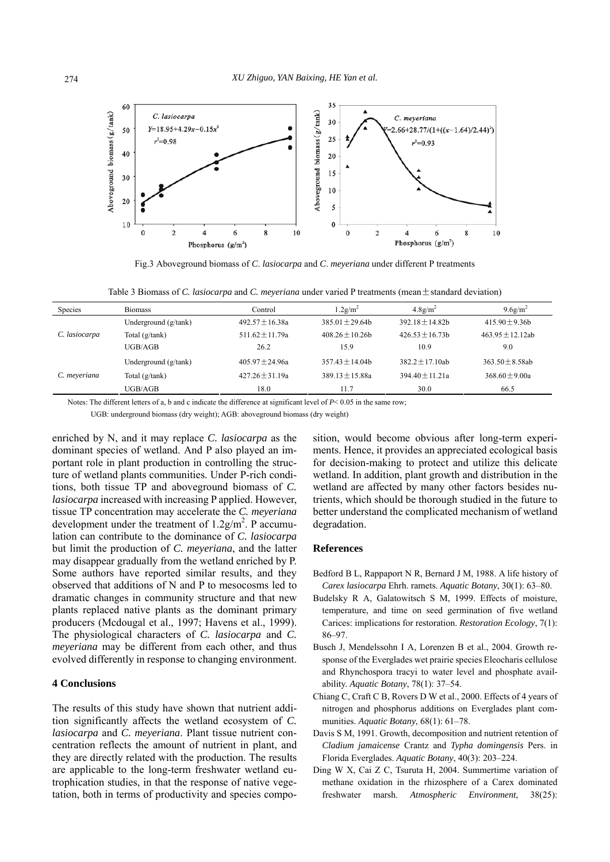

Fig.3 Aboveground biomass of *C*. *lasiocarpa* and *C*. *meyeriana* under different P treatments

| Table 3 Biomass of C. lastocarpa and C. meveriana under varied P treatments (mean $\pm$ standard deviation) |  |  |  |
|-------------------------------------------------------------------------------------------------------------|--|--|--|
|                                                                                                             |  |  |  |

| Species       | <b>Biomass</b>       | Control           | $1.2$ g/m <sup>2</sup> | $4.8$ g/m <sup>2</sup> | $9.6$ g/m <sup>2</sup> |
|---------------|----------------------|-------------------|------------------------|------------------------|------------------------|
| C. lasiocarpa | Underground (g/tank) | $492.57 + 16.38a$ | $385.01 + 29.64h$      | $392.18 + 14.82h$      | $415.90 + 9.36h$       |
|               | Total (g/tank)       | $511.62 + 11.79a$ | $408.26 \pm 10.26$     | $426.53 + 16.73h$      | $463.95 + 12.12$ ab    |
|               | UGB/AGB              | 26.2              | 15.9                   | 10.9                   | 9.0                    |
| C. meyeriana  | Underground (g/tank) | $405.97 + 24.96a$ | $357.43 + 14.04b$      | $382.2 + 17.10$ ab     | $363.50 \pm 8.58ab$    |
|               | Total $(g/tank)$     | $427.26 + 31.19a$ | $389.13 \pm 15.88a$    | $394.40 + 11.21a$      | $368.60 + 9.00a$       |
|               | UGB/AGB              | 18.0              | 11.7                   | 30.0                   | 66.5                   |

Notes: The different letters of a, b and c indicate the difference at significant level of *P*< 0.05 in the same row;

UGB: underground biomass (dry weight); AGB: aboveground biomass (dry weight)

enriched by N, and it may replace *C. lasiocarpa* as the dominant species of wetland. And P also played an important role in plant production in controlling the structure of wetland plants communities. Under P-rich conditions, both tissue TP and aboveground biomass of *C. lasiocarpa* increased with increasing P applied. However, tissue TP concentration may accelerate the *C. meyeriana* development under the treatment of  $1.2g/m<sup>2</sup>$ . P accumulation can contribute to the dominance of *C. lasiocarpa*  but limit the production of *C. meyeriana*, and the latter may disappear gradually from the wetland enriched by P. Some authors have reported similar results, and they observed that additions of N and P to mesocosms led to dramatic changes in community structure and that new plants replaced native plants as the dominant primary producers (Mcdougal et al., 1997; Havens et al., 1999). The physiological characters of *C. lasiocarpa* and *C. meyeriana* may be different from each other, and thus evolved differently in response to changing environment.

## **4 Conclusions**

The results of this study have shown that nutrient addition significantly affects the wetland ecosystem of *C. lasiocarpa* and *C. meyeriana*. Plant tissue nutrient concentration reflects the amount of nutrient in plant, and they are directly related with the production. The results are applicable to the long-term freshwater wetland eutrophication studies, in that the response of native vegetation, both in terms of productivity and species composition, would become obvious after long-term experiments. Hence, it provides an appreciated ecological basis for decision-making to protect and utilize this delicate wetland. In addition, plant growth and distribution in the wetland are affected by many other factors besides nutrients, which should be thorough studied in the future to better understand the complicated mechanism of wetland degradation.

#### **References**

- Bedford B L, Rappaport N R, Bernard J M, 1988. A life history of *Carex lasiocarpa* Ehrh. ramets. *Aquatic Botany*, 30(1): 63–80.
- Budelsky R A, Galatowitsch S M, 1999. Effects of moisture, temperature, and time on seed germination of five wetland Carices: implications for restoration. *Restoration Ecology*, 7(1): 86–97.
- Busch J, Mendelssohn I A, Lorenzen B et al., 2004. Growth response of the Everglades wet prairie species Eleocharis cellulose and Rhynchospora tracyi to water level and phosphate availability. *Aquatic Botany*, 78(1): 37–54.
- Chiang C, Craft C B, Rovers D W et al., 2000. Effects of 4 years of nitrogen and phosphorus additions on Everglades plant communities. *Aquatic Botany*, 68(1): 61–78.
- Davis S M, 1991. Growth, decomposition and nutrient retention of *Cladium jamaicense* Crantz and *Typha domingensis* Pers. in Florida Everglades. *Aquatic Botany*, 40(3): 203–224.
- Ding W X, Cai Z C, Tsuruta H, 2004. Summertime variation of methane oxidation in the rhizosphere of a Carex dominated freshwater marsh. *Atmospheric Environment*, 38(25):